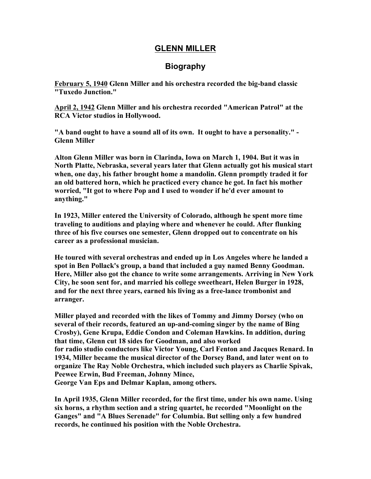## **GLENN MILLER**

## **Biography**

**February 5, 1940 Glenn Miller and his orchestra recorded the big-band classic "Tuxedo Junction."**

**April 2, 1942 Glenn Miller and his orchestra recorded "American Patrol" at the RCA Victor studios in Hollywood.**

**"A band ought to have a sound all of its own. It ought to have a personality." - Glenn Miller**

**Alton Glenn Miller was born in Clarinda, Iowa on March 1, 1904. But it was in North Platte, Nebraska, several years later that Glenn actually got his musical start when, one day, his father brought home a mandolin. Glenn promptly traded it for an old battered horn, which he practiced every chance he got. In fact his mother worried, "It got to where Pop and I used to wonder if he'd ever amount to anything."**

**In 1923, Miller entered the University of Colorado, although he spent more time traveling to auditions and playing where and whenever he could. After flunking three of his five courses one semester, Glenn dropped out to concentrate on his career as a professional musician.**

**He toured with several orchestras and ended up in Los Angeles where he landed a spot in Ben Pollack's group, a band that included a guy named Benny Goodman. Here, Miller also got the chance to write some arrangements. Arriving in New York City, he soon sent for, and married his college sweetheart, Helen Burger in 1928, and for the next three years, earned his living as a free-lance trombonist and arranger.**

**Miller played and recorded with the likes of Tommy and Jimmy Dorsey (who on several of their records, featured an up-and-coming singer by the name of Bing Crosby), Gene Krupa, Eddie Condon and Coleman Hawkins. In addition, during that time, Glenn cut 18 sides for Goodman, and also worked for radio studio conductors like Victor Young, Carl Fenton and Jacques Renard. In 1934, Miller became the musical director of the Dorsey Band, and later went on to organize The Ray Noble Orchestra, which included such players as Charlie Spivak, Peewee Erwin, Bud Freeman, Johnny Mince, George Van Eps and Delmar Kaplan, among others.**

**In April 1935, Glenn Miller recorded, for the first time, under his own name. Using six horns, a rhythm section and a string quartet, he recorded "Moonlight on the Ganges" and "A Blues Serenade" for Columbia. But selling only a few hundred records, he continued his position with the Noble Orchestra.**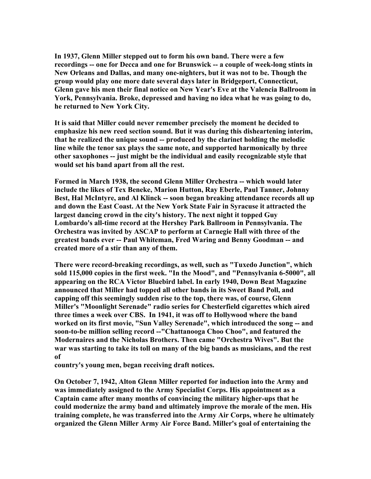**In 1937, Glenn Miller stepped out to form his own band. There were a few recordings -- one for Decca and one for Brunswick -- a couple of week-long stints in New Orleans and Dallas, and many one-nighters, but it was not to be. Though the group would play one more date several days later in Bridgeport, Connecticut, Glenn gave his men their final notice on New Year's Eve at the Valencia Ballroom in York, Pennsylvania. Broke, depressed and having no idea what he was going to do, he returned to New York City.**

**It is said that Miller could never remember precisely the moment he decided to emphasize his new reed section sound. But it was during this disheartening interim, that he realized the unique sound -- produced by the clarinet holding the melodic line while the tenor sax plays the same note, and supported harmonically by three other saxophones -- just might be the individual and easily recognizable style that would set his band apart from all the rest.**

**Formed in March 1938, the second Glenn Miller Orchestra -- which would later include the likes of Tex Beneke, Marion Hutton, Ray Eberle, Paul Tanner, Johnny Best, Hal McIntyre, and Al Klinck -- soon began breaking attendance records all up and down the East Coast. At the New York State Fair in Syracuse it attracted the largest dancing crowd in the city's history. The next night it topped Guy Lombardo's all-time record at the Hershey Park Ballroom in Pennsylvania. The Orchestra was invited by ASCAP to perform at Carnegie Hall with three of the greatest bands ever -- Paul Whiteman, Fred Waring and Benny Goodman -- and created more of a stir than any of them.**

**There were record-breaking recordings, as well, such as "Tuxedo Junction", which sold 115,000 copies in the first week. "In the Mood", and "Pennsylvania 6-5000", all appearing on the RCA Victor Bluebird label. In early 1940, Down Beat Magazine announced that Miller had topped all other bands in its Sweet Band Poll, and capping off this seemingly sudden rise to the top, there was, of course, Glenn Miller's "Moonlight Serenade" radio series for Chesterfield cigarettes which aired three times a week over CBS. In 1941, it was off to Hollywood where the band worked on its first movie, "Sun Valley Serenade", which introduced the song -- and soon-to-be million selling record --"Chattanooga Choo Choo", and featured the Modernaires and the Nicholas Brothers. Then came "Orchestra Wives". But the war was starting to take its toll on many of the big bands as musicians, and the rest of**

**country's young men, began receiving draft notices.**

**On October 7, 1942, Alton Glenn Miller reported for induction into the Army and was immediately assigned to the Army Specialist Corps. His appointment as a Captain came after many months of convincing the military higher-ups that he could modernize the army band and ultimately improve the morale of the men. His training complete, he was transferred into the Army Air Corps, where he ultimately organized the Glenn Miller Army Air Force Band. Miller's goal of entertaining the**